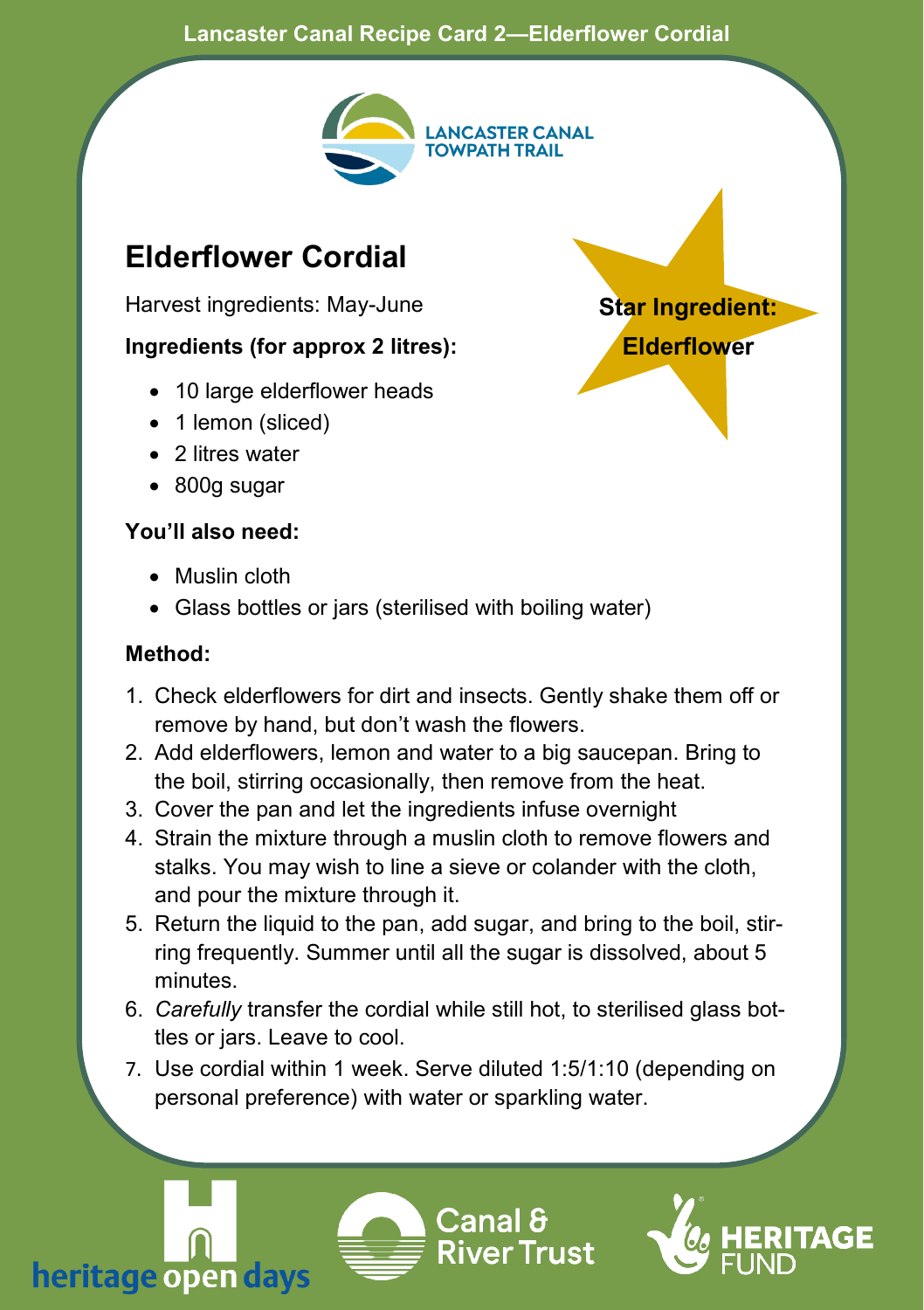#### **Lancaster Canal Recipe Card 2—Elderflower Cordial**



**Star Ingredient: Elderflower**

# **Elderflower Cordial**

Harvest ingredients: May-June

## **Ingredients (for approx 2 litres):**

- 10 large elderflower heads
- 1 lemon (sliced)
- 2 litres water
- 800g sugar

# **You'll also need:**

- Muslin cloth
- Glass bottles or jars (sterilised with boiling water)

## **Method:**

- 1. Check elderflowers for dirt and insects. Gently shake them off or remove by hand, but don't wash the flowers.
- 2. Add elderflowers, lemon and water to a big saucepan. Bring to the boil, stirring occasionally, then remove from the heat.
- 3. Cover the pan and let the ingredients infuse overnight
- 4. Strain the mixture through a muslin cloth to remove flowers and stalks. You may wish to line a sieve or colander with the cloth, and pour the mixture through it.
- 5. Return the liquid to the pan, add sugar, and bring to the boil, stirring frequently. Summer until all the sugar is dissolved, about 5 minutes.
- 6. *Carefully* transfer the cordial while still hot, to sterilised glass bottles or jars. Leave to cool.
- 7. Use cordial within 1 week. Serve diluted 1:5/1:10 (depending on personal preference) with water or sparkling water.